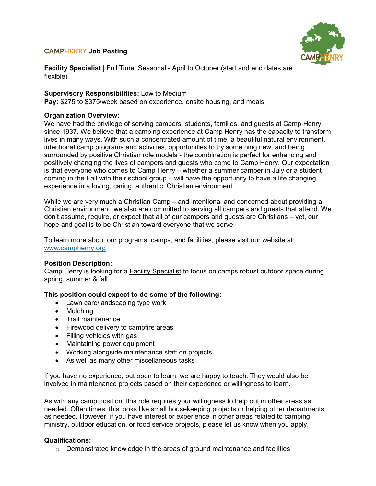# CAMPHENRY **Job Posting**



**Facility Specialist** | Full Time, Seasonal - April to October (start and end dates are flexible)

## **Supervisory Responsibilities:** Low to Medium

**Pay:** \$275 to \$375/week based on experience, onsite housing, and meals

## **Organization Overview:**

We have had the privilege of serving campers, students, families, and guests at Camp Henry since 1937. We believe that a camping experience at Camp Henry has the capacity to transform lives in many ways. With such a concentrated amount of time, a beautiful natural environment, intentional camp programs and activities, opportunities to try something new, and being surrounded by positive Christian role models - the combination is perfect for enhancing and positively changing the lives of campers and guests who come to Camp Henry. Our expectation is that everyone who comes to Camp Henry – whether a summer camper in July or a student coming in the Fall with their school group – will have the opportunity to have a life changing experience in a loving, caring, authentic, Christian environment.

While we are very much a Christian Camp – and intentional and concerned about providing a Christian environment, we also are committed to serving all campers and guests that attend. We don't assume, require, or expect that all of our campers and guests are Christians – yet, our hope and goal is to be Christian toward everyone that we serve.

To learn more about our programs, camps, and facilities, please visit our website at: [www.camphenry.org](http://www.camphenry.org/)

### **Position Description:**

Camp Henry is looking for a Facility Specialist to focus on camps robust outdoor space during spring, summer & fall.

### **This position could expect to do some of the following:**

- Lawn care/landscaping type work
- Mulching
- Trail maintenance
- Firewood delivery to campfire areas
- Filling vehicles with gas
- Maintaining power equipment
- Working alongside maintenance staff on projects
- As well as many other miscellaneous tasks

If you have no experience, but open to learn, we are happy to teach. They would also be involved in maintenance projects based on their experience or willingness to learn.

As with any camp position, this role requires your willingness to help out in other areas as needed. Often times, this looks like small housekeeping projects or helping other departments as needed. However, if you have interest or experience in other areas related to camping ministry, outdoor education, or food service projects, please let us know when you apply.

### **Qualifications:**

 $\circ$  Demonstrated knowledge in the areas of ground maintenance and facilities